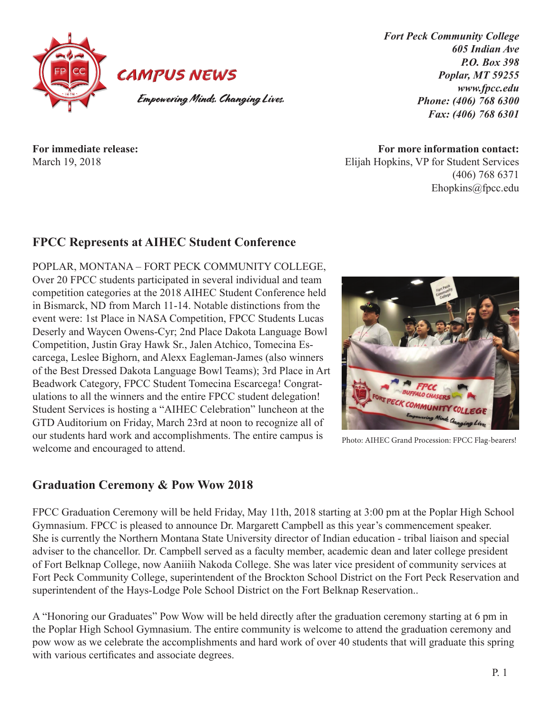

*Fort Peck Community College 605 Indian Ave P.O. Box 398 Poplar, MT 59255 www.fpcc.edu Phone: (406) 768 6300 Fax: (406) 768 6301*

**For immediate release:** March 19, 2018

**For more information contact:** Elijah Hopkins, VP for Student Services (406) 768 6371 Ehopkins@fpcc.edu

## **FPCC Represents at AIHEC Student Conference**

POPLAR, MONTANA – FORT PECK COMMUNITY COLLEGE, Over 20 FPCC students participated in several individual and team competition categories at the 2018 AIHEC Student Conference held in Bismarck, ND from March 11-14. Notable distinctions from the event were: 1st Place in NASA Competition, FPCC Students Lucas Deserly and Waycen Owens-Cyr; 2nd Place Dakota Language Bowl Competition, Justin Gray Hawk Sr., Jalen Atchico, Tomecina Escarcega, Leslee Bighorn, and Alexx Eagleman-James (also winners of the Best Dressed Dakota Language Bowl Teams); 3rd Place in Art Beadwork Category, FPCC Student Tomecina Escarcega! Congratulations to all the winners and the entire FPCC student delegation! Student Services is hosting a "AIHEC Celebration" luncheon at the GTD Auditorium on Friday, March 23rd at noon to recognize all of our students hard work and accomplishments. The entire campus is welcome and encouraged to attend.

#### **Graduation Ceremony & Pow Wow 2018**

FPCC Graduation Ceremony will be held Friday, May 11th, 2018 starting at 3:00 pm at the Poplar High School Gymnasium. FPCC is pleased to announce Dr. Margarett Campbell as this year's commencement speaker. She is currently the Northern Montana State University director of Indian education - tribal liaison and special adviser to the chancellor. Dr. Campbell served as a faculty member, academic dean and later college president of Fort Belknap College, now Aaniiih Nakoda College. She was later vice president of community services at Fort Peck Community College, superintendent of the Brockton School District on the Fort Peck Reservation and superintendent of the Hays-Lodge Pole School District on the Fort Belknap Reservation..

A "Honoring our Graduates" Pow Wow will be held directly after the graduation ceremony starting at 6 pm in the Poplar High School Gymnasium. The entire community is welcome to attend the graduation ceremony and pow wow as we celebrate the accomplishments and hard work of over 40 students that will graduate this spring with various certificates and associate degrees.



Photo: AIHEC Grand Procession: FPCC Flag-bearers!